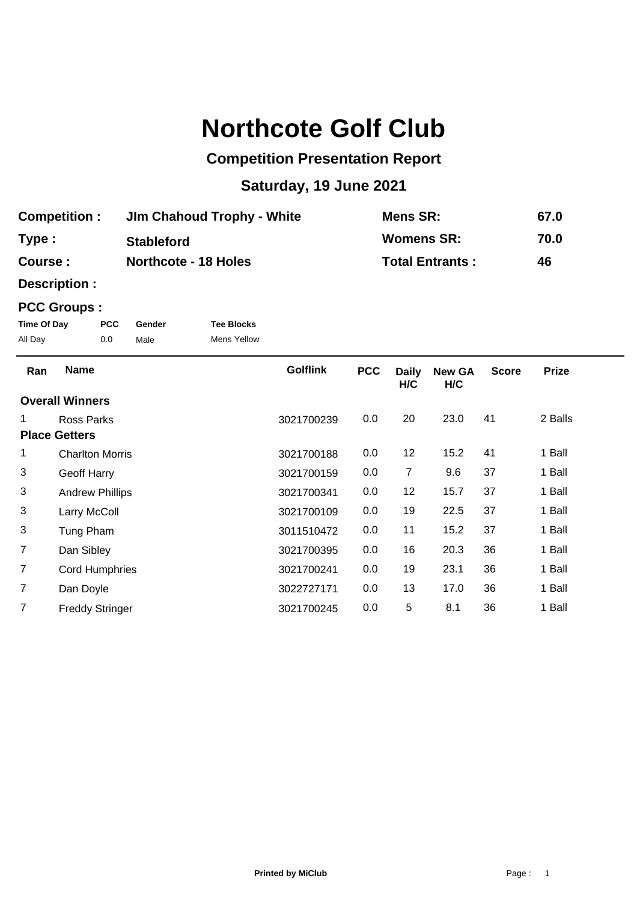# **Northcote Golf Club**

## **Competition Presentation Report**

## **Saturday, 19 June 2021**

| <b>Competition:</b> | <b>Jim Chahoud Trophy - White</b> | <b>Mens SR:</b>        | 67.0 |
|---------------------|-----------------------------------|------------------------|------|
| Type:               | <b>Stableford</b>                 | <b>Womens SR:</b>      | 70.0 |
| <b>Course:</b>      | <b>Northcote - 18 Holes</b>       | <b>Total Entrants:</b> | 46   |

**Description :**

### **PCC Groups :**

| Time Of Day | <b>PCC</b> | Gender | <b>Tee Blocks</b>  |
|-------------|------------|--------|--------------------|
| All Day     | 0.0        | Male   | <b>Mens Yellow</b> |

| Ran                    | <b>Name</b>            | <b>Golflink</b> | <b>PCC</b> | <b>Daily</b><br>H/C | <b>New GA</b><br>H/C | <b>Score</b> | <b>Prize</b> |
|------------------------|------------------------|-----------------|------------|---------------------|----------------------|--------------|--------------|
| <b>Overall Winners</b> |                        |                 |            |                     |                      |              |              |
|                        | Ross Parks             | 3021700239      | 0.0        | 20                  | 23.0                 | 41           | 2 Balls      |
| <b>Place Getters</b>   |                        |                 |            |                     |                      |              |              |
| 1                      | <b>Charlton Morris</b> | 3021700188      | 0.0        | 12                  | 15.2                 | 41           | 1 Ball       |
| 3                      | Geoff Harry            | 3021700159      | 0.0        | 7                   | 9.6                  | 37           | 1 Ball       |
| 3                      | <b>Andrew Phillips</b> | 3021700341      | 0.0        | 12                  | 15.7                 | 37           | 1 Ball       |
| 3                      | Larry McColl           | 3021700109      | 0.0        | 19                  | 22.5                 | 37           | 1 Ball       |
| 3                      | Tung Pham              | 3011510472      | 0.0        | 11                  | 15.2                 | 37           | 1 Ball       |
| $\overline{7}$         | Dan Sibley             | 3021700395      | 0.0        | 16                  | 20.3                 | 36           | 1 Ball       |
| $\overline{7}$         | <b>Cord Humphries</b>  | 3021700241      | 0.0        | 19                  | 23.1                 | 36           | 1 Ball       |
| 7                      | Dan Doyle              | 3022727171      | 0.0        | 13                  | 17.0                 | 36           | 1 Ball       |
| 7                      | <b>Freddy Stringer</b> | 3021700245      | 0.0        | 5                   | 8.1                  | 36           | 1 Ball       |